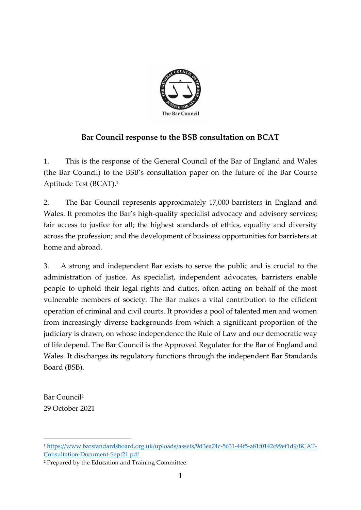

### **Bar Council response to the BSB consultation on BCAT**

1. This is the response of the General Council of the Bar of England and Wales (the Bar Council) to the BSB's consultation paper on the future of the Bar Course Aptitude Test (BCAT). 1

2. The Bar Council represents approximately 17,000 barristers in England and Wales. It promotes the Bar's high-quality specialist advocacy and advisory services; fair access to justice for all; the highest standards of ethics, equality and diversity across the profession; and the development of business opportunities for barristers at home and abroad.

3. A strong and independent Bar exists to serve the public and is crucial to the administration of justice. As specialist, independent advocates, barristers enable people to uphold their legal rights and duties, often acting on behalf of the most vulnerable members of society. The Bar makes a vital contribution to the efficient operation of criminal and civil courts. It provides a pool of talented men and women from increasingly diverse backgrounds from which a significant proportion of the judiciary is drawn, on whose independence the Rule of Law and our democratic way of life depend. The Bar Council is the Approved Regulator for the Bar of England and Wales. It discharges its regulatory functions through the independent Bar Standards Board (BSB).

Bar Council<sup>2</sup> 29 October 2021

<sup>1</sup> [https://www.barstandardsboard.org.uk/uploads/assets/9d3ea74c-5631-44f5-a81f0142c99ef1d9/BCAT-](https://www.barstandardsboard.org.uk/uploads/assets/9d3ea74c-5631-44f5-a81f0142c99ef1d9/BCAT-Consultation-Document-Sept21.pdf)[Consultation-Document-Sept21.pdf](https://www.barstandardsboard.org.uk/uploads/assets/9d3ea74c-5631-44f5-a81f0142c99ef1d9/BCAT-Consultation-Document-Sept21.pdf)

<sup>2</sup> Prepared by the Education and Training Committee.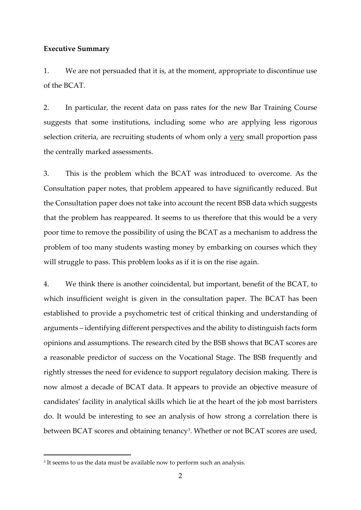#### **Executive Summary**

1. We are not persuaded that it is, at the moment, appropriate to discontinue use of the BCAT.

2. In particular, the recent data on pass rates for the new Bar Training Course suggests that some institutions, including some who are applying less rigorous selection criteria, are recruiting students of whom only a very small proportion pass the centrally marked assessments.

3. This is the problem which the BCAT was introduced to overcome. As the Consultation paper notes, that problem appeared to have significantly reduced. But the Consultation paper does not take into account the recent BSB data which suggests that the problem has reappeared. It seems to us therefore that this would be a very poor time to remove the possibility of using the BCAT as a mechanism to address the problem of too many students wasting money by embarking on courses which they will struggle to pass. This problem looks as if it is on the rise again.

4. We think there is another coincidental, but important, benefit of the BCAT, to which insufficient weight is given in the consultation paper. The BCAT has been established to provide a psychometric test of critical thinking and understanding of arguments – identifying different perspectives and the ability to distinguish facts form opinions and assumptions. The research cited by the BSB shows that BCAT scores are a reasonable predictor of success on the Vocational Stage. The BSB frequently and rightly stresses the need for evidence to support regulatory decision making. There is now almost a decade of BCAT data. It appears to provide an objective measure of candidates' facility in analytical skills which lie at the heart of the job most barristers do. It would be interesting to see an analysis of how strong a correlation there is between BCAT scores and obtaining tenancy<sup>3</sup>. Whether or not BCAT scores are used,

<sup>&</sup>lt;sup>3</sup> It seems to us the data must be available now to perform such an analysis.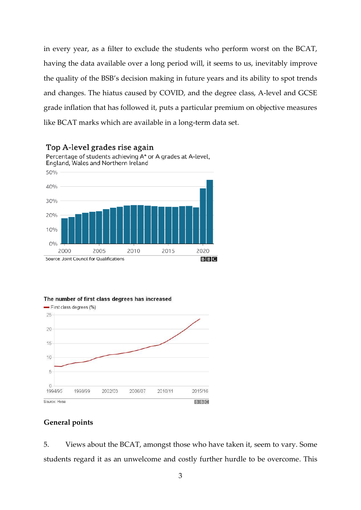in every year, as a filter to exclude the students who perform worst on the BCAT, having the data available over a long period will, it seems to us, inevitably improve the quality of the BSB's decision making in future years and its ability to spot trends and changes. The hiatus caused by COVID, and the degree class, A-level and GCSE grade inflation that has followed it, puts a particular premium on objective measures like BCAT marks which are available in a long-term data set.



Top A-level grades rise again



### **General points**

5. Views about the BCAT, amongst those who have taken it, seem to vary. Some students regard it as an unwelcome and costly further hurdle to be overcome. This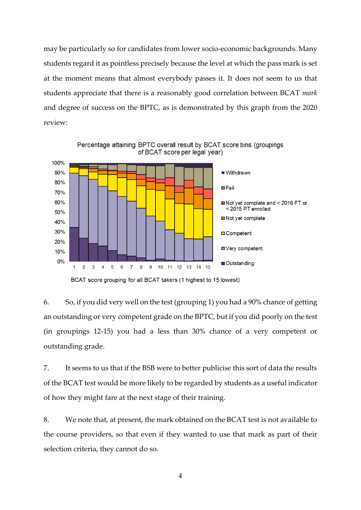may be particularly so for candidates from lower socio-economic backgrounds. Many students regard it as pointless precisely because the level at which the pass mark is set at the moment means that almost everybody passes it. It does not seem to us that students appreciate that there is a reasonably good correlation between BCAT *mark* and degree of success on the BPTC, as is demonstrated by this graph from the 2020 review:



BCAT score grouping for all BCAT takers (1 highest to 15 lowest)

6. So, if you did very well on the test (grouping 1) you had a 90% chance of getting an outstanding or very competent grade on the BPTC, but if you did poorly on the test (in groupings 12-15) you had a less than 30% chance of a very competent or outstanding grade.

7. It seems to us that if the BSB were to better publicise this sort of data the results of the BCAT test would be more likely to be regarded by students as a useful indicator of how they might fare at the next stage of their training.

8. We note that, at present, the mark obtained on the BCAT test is not available to the course providers, so that even if they wanted to use that mark as part of their selection criteria, they cannot do so.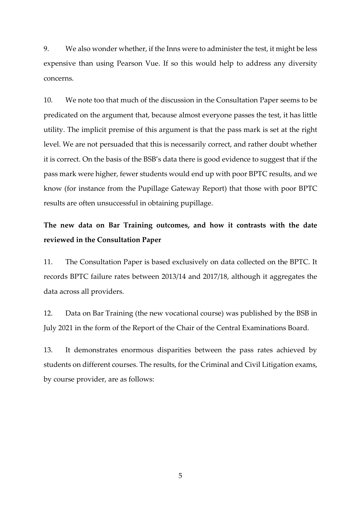9. We also wonder whether, if the Inns were to administer the test, it might be less expensive than using Pearson Vue. If so this would help to address any diversity concerns.

10. We note too that much of the discussion in the Consultation Paper seems to be predicated on the argument that, because almost everyone passes the test, it has little utility. The implicit premise of this argument is that the pass mark is set at the right level. We are not persuaded that this is necessarily correct, and rather doubt whether it is correct. On the basis of the BSB's data there is good evidence to suggest that if the pass mark were higher, fewer students would end up with poor BPTC results, and we know (for instance from the Pupillage Gateway Report) that those with poor BPTC results are often unsuccessful in obtaining pupillage.

## **The new data on Bar Training outcomes, and how it contrasts with the date reviewed in the Consultation Paper**

11. The Consultation Paper is based exclusively on data collected on the BPTC. It records BPTC failure rates between 2013/14 and 2017/18, although it aggregates the data across all providers.

12. Data on Bar Training (the new vocational course) was published by the BSB in July 2021 in the form of the Report of the Chair of the Central Examinations Board.

13. It demonstrates enormous disparities between the pass rates achieved by students on different courses. The results, for the Criminal and Civil Litigation exams, by course provider, are as follows: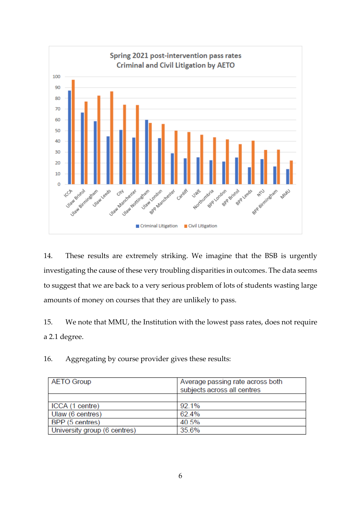

14. These results are extremely striking. We imagine that the BSB is urgently investigating the cause of these very troubling disparities in outcomes. The data seems to suggest that we are back to a very serious problem of lots of students wasting large amounts of money on courses that they are unlikely to pass.

15. We note that MMU, the Institution with the lowest pass rates, does not require a 2.1 degree.

16. Aggregating by course provider gives these results:

| <b>AETO Group</b>            | Average passing rate across both |
|------------------------------|----------------------------------|
|                              | subjects across all centres      |
|                              |                                  |
| ICCA (1 centre)              | 92.1%                            |
| Ulaw (6 centres)             | 62.4%                            |
| BPP (5 centres)              | 40.5%                            |
| University group (6 centres) | 35.6%                            |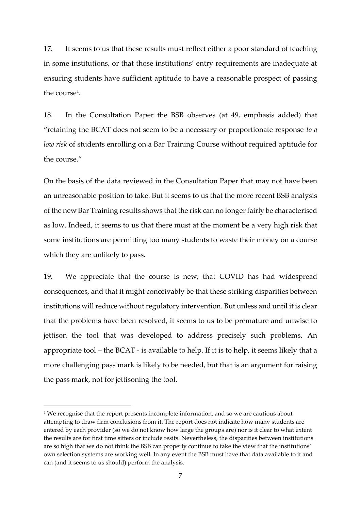17. It seems to us that these results must reflect either a poor standard of teaching in some institutions, or that those institutions' entry requirements are inadequate at ensuring students have sufficient aptitude to have a reasonable prospect of passing the course<sup>4</sup>.

18. In the Consultation Paper the BSB observes (at 49, emphasis added) that "retaining the BCAT does not seem to be a necessary or proportionate response *to a low risk* of students enrolling on a Bar Training Course without required aptitude for the course."

On the basis of the data reviewed in the Consultation Paper that may not have been an unreasonable position to take. But it seems to us that the more recent BSB analysis of the new Bar Training results shows that the risk can no longer fairly be characterised as low. Indeed, it seems to us that there must at the moment be a very high risk that some institutions are permitting too many students to waste their money on a course which they are unlikely to pass.

19. We appreciate that the course is new, that COVID has had widespread consequences, and that it might conceivably be that these striking disparities between institutions will reduce without regulatory intervention. But unless and until it is clear that the problems have been resolved, it seems to us to be premature and unwise to jettison the tool that was developed to address precisely such problems. An appropriate tool – the BCAT - is available to help. If it is to help, it seems likely that a more challenging pass mark is likely to be needed, but that is an argument for raising the pass mark, not for jettisoning the tool.

<sup>&</sup>lt;sup>4</sup> We recognise that the report presents incomplete information, and so we are cautious about attempting to draw firm conclusions from it. The report does not indicate how many students are entered by each provider (so we do not know how large the groups are) nor is it clear to what extent the results are for first time sitters or include resits. Nevertheless, the disparities between institutions are so high that we do not think the BSB can properly continue to take the view that the institutions' own selection systems are working well. In any event the BSB must have that data available to it and can (and it seems to us should) perform the analysis.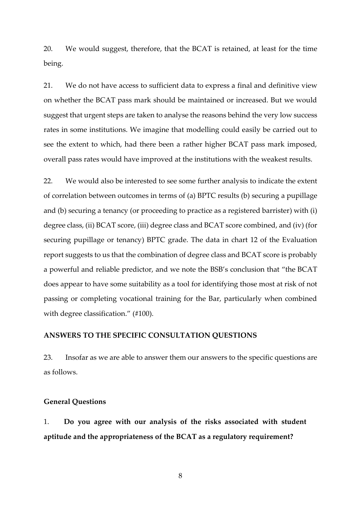20. We would suggest, therefore, that the BCAT is retained, at least for the time being.

21. We do not have access to sufficient data to express a final and definitive view on whether the BCAT pass mark should be maintained or increased. But we would suggest that urgent steps are taken to analyse the reasons behind the very low success rates in some institutions. We imagine that modelling could easily be carried out to see the extent to which, had there been a rather higher BCAT pass mark imposed, overall pass rates would have improved at the institutions with the weakest results.

22. We would also be interested to see some further analysis to indicate the extent of correlation between outcomes in terms of (a) BPTC results (b) securing a pupillage and (b) securing a tenancy (or proceeding to practice as a registered barrister) with (i) degree class, (ii) BCAT score, (iii) degree class and BCAT score combined, and (iv) (for securing pupillage or tenancy) BPTC grade. The data in chart 12 of the Evaluation report suggests to us that the combination of degree class and BCAT score is probably a powerful and reliable predictor, and we note the BSB's conclusion that "the BCAT does appear to have some suitability as a tool for identifying those most at risk of not passing or completing vocational training for the Bar, particularly when combined with degree classification." (#100).

### **ANSWERS TO THE SPECIFIC CONSULTATION QUESTIONS**

23. Insofar as we are able to answer them our answers to the specific questions are as follows.

#### **General Questions**

1. **Do you agree with our analysis of the risks associated with student aptitude and the appropriateness of the BCAT as a regulatory requirement?**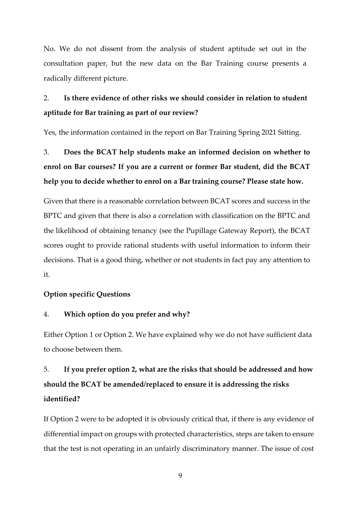No. We do not dissent from the analysis of student aptitude set out in the consultation paper, but the new data on the Bar Training course presents a radically different picture.

## 2. **Is there evidence of other risks we should consider in relation to student aptitude for Bar training as part of our review?**

Yes, the information contained in the report on Bar Training Spring 2021 Sitting.

# 3. **Does the BCAT help students make an informed decision on whether to enrol on Bar courses? If you are a current or former Bar student, did the BCAT help you to decide whether to enrol on a Bar training course? Please state how.**

Given that there is a reasonable correlation between BCAT scores and success in the BPTC and given that there is also a correlation with classification on the BPTC and the likelihood of obtaining tenancy (see the Pupillage Gateway Report), the BCAT scores ought to provide rational students with useful information to inform their decisions. That is a good thing, whether or not students in fact pay any attention to it.

### **Option specific Questions**

### 4. **Which option do you prefer and why?**

Either Option 1 or Option 2. We have explained why we do not have sufficient data to choose between them.

# 5. **If you prefer option 2, what are the risks that should be addressed and how should the BCAT be amended/replaced to ensure it is addressing the risks identified?**

If Option 2 were to be adopted it is obviously critical that, if there is any evidence of differential impact on groups with protected characteristics, steps are taken to ensure that the test is not operating in an unfairly discriminatory manner. The issue of cost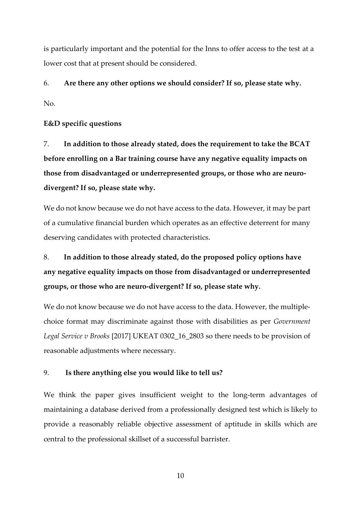is particularly important and the potential for the Inns to offer access to the test at a lower cost that at present should be considered.

6. **Are there any other options we should consider? If so, please state why.** No.

### **E&D specific questions**

7. **In addition to those already stated, does the requirement to take the BCAT before enrolling on a Bar training course have any negative equality impacts on those from disadvantaged or underrepresented groups, or those who are neurodivergent? If so, please state why.**

We do not know because we do not have access to the data. However, it may be part of a cumulative financial burden which operates as an effective deterrent for many deserving candidates with protected characteristics.

# 8. **In addition to those already stated, do the proposed policy options have any negative equality impacts on those from disadvantaged or underrepresented groups, or those who are neuro-divergent? If so, please state why.**

We do not know because we do not have access to the data. However, the multiplechoice format may discriminate against those with disabilities as per *Government Legal Service v Brooks* [2017] UKEAT 0302\_16\_2803 so there needs to be provision of reasonable adjustments where necessary.

### 9. **Is there anything else you would like to tell us?**

We think the paper gives insufficient weight to the long-term advantages of maintaining a database derived from a professionally designed test which is likely to provide a reasonably reliable objective assessment of aptitude in skills which are central to the professional skillset of a successful barrister.